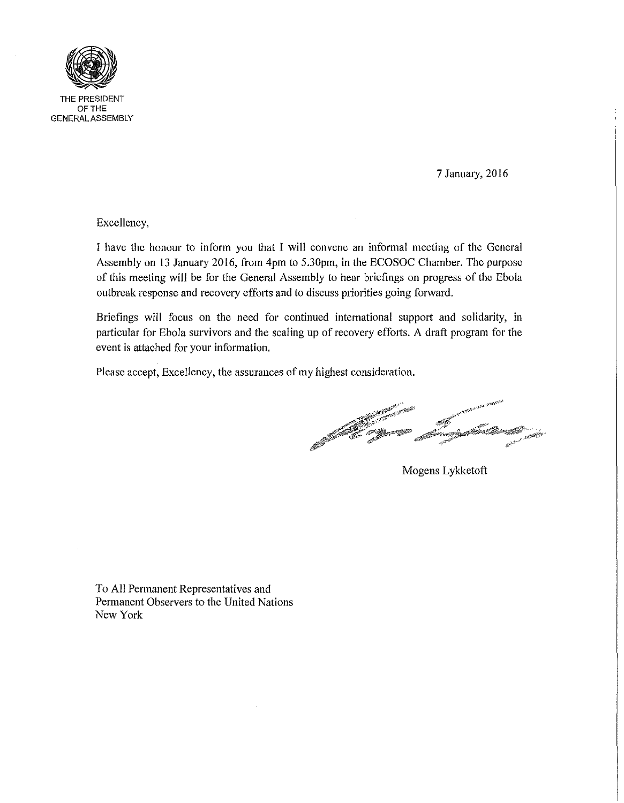

THE PRESIDENT OFTHE GENERAL ASSEMBLY

7 January, 2016

Excellency,

I have the honour to inform you that I will convene an informal meeting of the General Assembly on 13 January 2016, from 4pm to 5.30pm, in the ECOSOC Chamber. The purpose of this meeting will be for the General Assembly to hear briefings on progress of the Ebola outbreak response and recovery efforts and to discuss priorities going forward.

Briefings will focus on the need for continued international support and solidarity, in patticular for Ebola survivors and the scaling up of recovery efforts. A draft program for the event is attached for your information.

Please accept, Excellency, the assurances of my highest consideration.

Mogens Lykketoft

To All Permanent Representatives and Permanent Observers to the United Nations New York